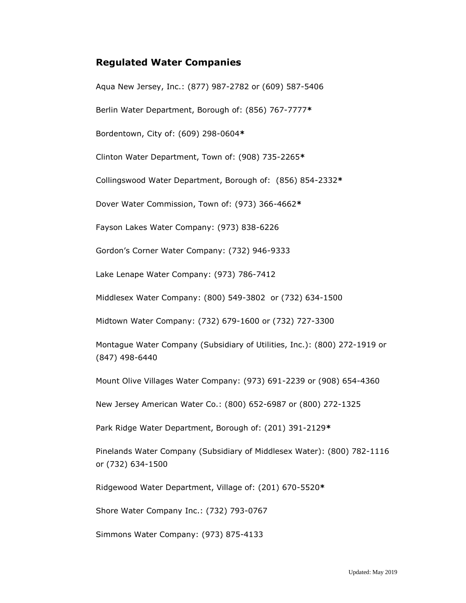## **Regulated Water Companies**

[Aqua New Jersey, Inc.:](http://www.aquanewjersey.com/) (877) 987-2782 or (609) 587-5406

Berlin Water Department, Borough of: (856) 767-7777**\***

Bordentown, City of: (609) 298-0604**\***

Clinton Water Department, Town of: (908) 735-2265**\***

Collingswood Water Department, Borough of: (856) 854-2332**\***

Dover Water Commission, Town of: (973) 366-4662**\***

Fayson Lakes Water Company: (973) 838-6226

Gordon's Corner Water Company: (732) 946-9333

Lake Lenape Water Company: (973) 786-7412

[Middlesex Water Company:](http://www.middlesexwater.com/hirez/) (800) 549-3802 or (732) 634-1500

Midtown Water Company: (732) 679-1600 or (732) 727-3300

Montague Water Company (Subsidiary of Utilities, Inc.): (800) 272-1919 or (847) 498-6440

Mount Olive Villages Water Company: (973) 691-2239 or (908) 654-4360

[New](http://www.njawater.com/awpr/njaw/start/index.html) Jersey American Water Co.: (800) 652-6987 or (800) 272-1325

Park Ridge Water Department, Borough of: (201) 391-2129**\***

Pinelands Water Company (Subsidiary of Middlesex Water): (800) 782-1116 or (732) 634-1500

Ridgewood Water Department, Village of: (201) 670-5520**\***

Shore Water Company Inc.: (732) 793-0767

Simmons Water Company: (973) 875-4133